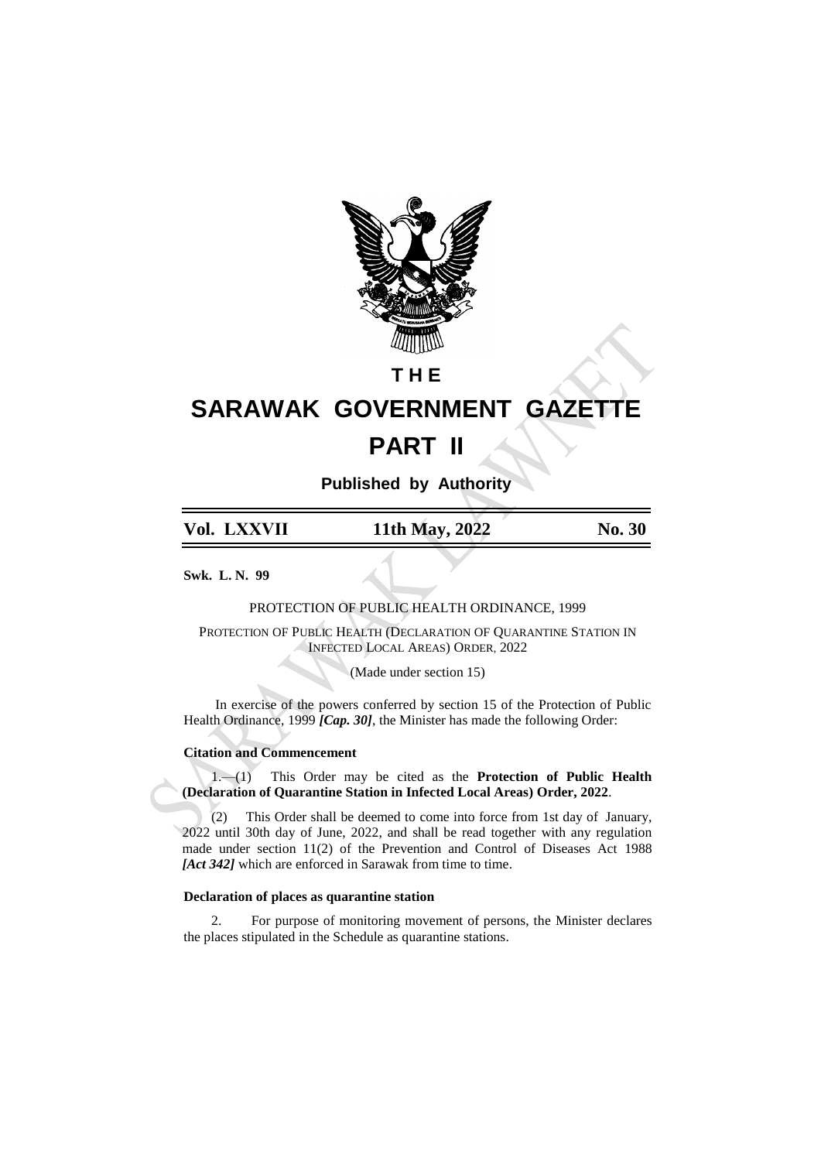

## **T H E**

# **SARAWAK GOVERNMENT GAZETTE PART II**

**Published by Authority**

| Vol. LXXVII | 11th May, 2022 | No. 30 |
|-------------|----------------|--------|
|             |                |        |

**Swk. L. N. 99**

PROTECTION OF PUBLIC HEALTH ORDINANCE, 1999

PROTECTION OF PUBLIC HEALTH (DECLARATION OF QUARANTINE STATION IN INFECTED LOCAL AREAS) ORDER, 2022

(Made under section 15)

In exercise of the powers conferred by section 15 of the Protection of Public Health Ordinance, 1999 *[Cap. 30]*, the Minister has made the following Order:

#### **Citation and Commencement**

1.—(1) This Order may be cited as the **Protection of Public Health (Declaration of Quarantine Station in Infected Local Areas) Order, 2022**.

(2) This Order shall be deemed to come into force from 1st day of January, 2022 until 30th day of June, 2022, and shall be read together with any regulation made under section 11(2) of the Prevention and Control of Diseases Act 1988 *[Act 342]* which are enforced in Sarawak from time to time.

#### **Declaration of places as quarantine station**

2. For purpose of monitoring movement of persons, the Minister declares the places stipulated in the Schedule as quarantine stations.